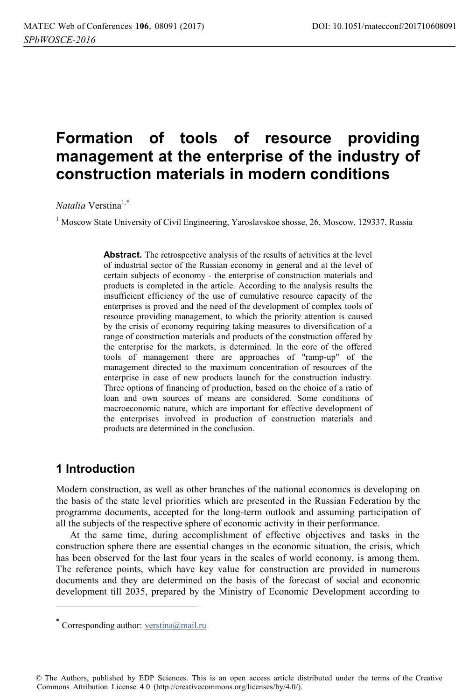# **Formation of tools of resource providing management at the enterprise of the industry of construction materials in modern conditions**

*Natalia* Verstina1,\*

<sup>1</sup> Moscow State University of Civil Engineering, Yaroslavskoe shosse, 26, Moscow, 129337, Russia

Abstract. The retrospective analysis of the results of activities at the level of industrial sector of the Russian economy in general and at the level of certain subjects of economy - the enterprise of construction materials and products is completed in the article. According to the analysis results the insufficient efficiency of the use of cumulative resource capacity of the enterprises is proved and the need of the development of complex tools of resource providing management, to which the priority attention is caused by the crisis of economy requiring taking measures to diversification of a range of construction materials and products of the construction offered by the enterprise for the markets, is determined. In the core of the offered tools of management there are approaches of "ramp-up" of the management directed to the maximum concentration of resources of the enterprise in case of new products launch for the construction industry. Three options of financing of production, based on the choice of a ratio of loan and own sources of means are considered. Some conditions of macroeconomic nature, which are important for effective development of the enterprises involved in production of construction materials and products are determined in the conclusion.

## **1 Introduction**

 $\overline{a}$ 

Modern construction, as well as other branches of the national economics is developing on the basis of the state level priorities which are presented in the Russian Federation by the programme documents, accepted for the long-term outlook and assuming participation of all the subjects of the respective sphere of economic activity in their performance.

At the same time, during accomplishment of effective objectives and tasks in the construction sphere there are essential changes in the economic situation, the crisis, which has been observed for the last four years in the scales of world economy, is among them. The reference points, which have key value for construction are provided in numerous documents and they are determined on the basis of the forecast of social and economic development till 2035, prepared by the Ministry of Economic Development according to

© The Authors, published by EDP Sciences. This is an open access article distributed under the terms of the Creative Commons Attribution License 4.0 (http://creativecommons.org/licenses/by/4.0/).

<sup>\*</sup> Corresponding author: verstina@mail.ru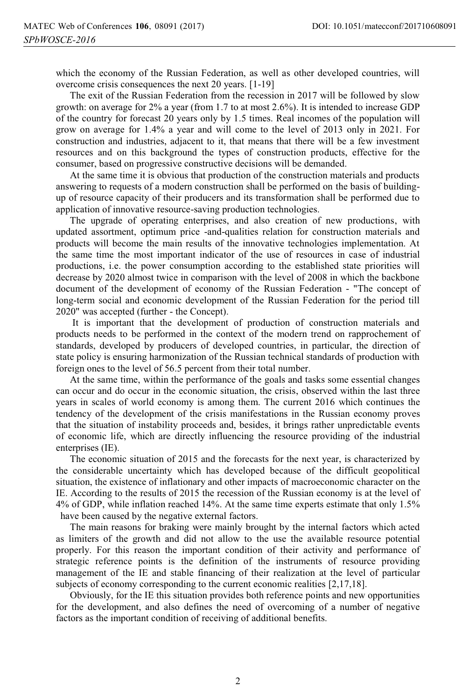which the economy of the Russian Federation, as well as other developed countries, will overcome crisis consequences the next 20 years. [1-19]

The exit of the Russian Federation from the recession in 2017 will be followed by slow growth: on average for 2% a year (from 1.7 to at most 2.6%). It is intended to increase GDP of the country for forecast 20 years only by 1.5 times. Real incomes of the population will grow on average for 1.4% a year and will come to the level of 2013 only in 2021. For construction and industries, adjacent to it, that means that there will be a few investment resources and on this background the types of construction products, effective for the consumer, based on progressive constructive decisions will be demanded.

At the same time it is obvious that production of the construction materials and products answering to requests of a modern construction shall be performed on the basis of buildingup of resource capacity of their producers and its transformation shall be performed due to application of innovative resource-saving production technologies.

The upgrade of operating enterprises, and also creation of new productions, with updated assortment, optimum price -and-qualities relation for construction materials and products will become the main results of the innovative technologies implementation. At the same time the most important indicator of the use of resources in case of industrial productions, i.e. the power consumption according to the established state priorities will decrease by 2020 almost twice in comparison with the level of 2008 in which the backbone document of the development of economy of the Russian Federation - "The concept of long-term social and economic development of the Russian Federation for the period till 2020" was accepted (further - the Concept).

 It is important that the development of production of construction materials and products needs to be performed in the context of the modern trend on rapprochement of standards, developed by producers of developed countries, in particular, the direction of state policy is ensuring harmonization of the Russian technical standards of production with foreign ones to the level of 56.5 percent from their total number.

At the same time, within the performance of the goals and tasks some essential changes can occur and do occur in the economic situation, the crisis, observed within the last three years in scales of world economy is among them. The current 2016 which continues the tendency of the development of the crisis manifestations in the Russian economy proves that the situation of instability proceeds and, besides, it brings rather unpredictable events of economic life, which are directly influencing the resource providing of the industrial enterprises (IE).

The economic situation of 2015 and the forecasts for the next year, is characterized by the considerable uncertainty which has developed because of the difficult geopolitical situation, the existence of inflationary and other impacts of macroeconomic character on the IE. According to the results of 2015 the recession of the Russian economy is at the level of 4% of GDP, while inflation reached 14%. At the same time experts estimate that only 1.5%   have been caused by the negative external factors.

The main reasons for braking were mainly brought by the internal factors which acted as limiters of the growth and did not allow to the use the available resource potential properly. For this reason the important condition of their activity and performance of strategic reference points is the definition of the instruments of resource providing management of the IE and stable financing of their realization at the level of particular subjects of economy corresponding to the current economic realities [2,17,18].

Obviously, for the IE this situation provides both reference points and new opportunities for the development, and also defines the need of overcoming of a number of negative factors as the important condition of receiving of additional benefits.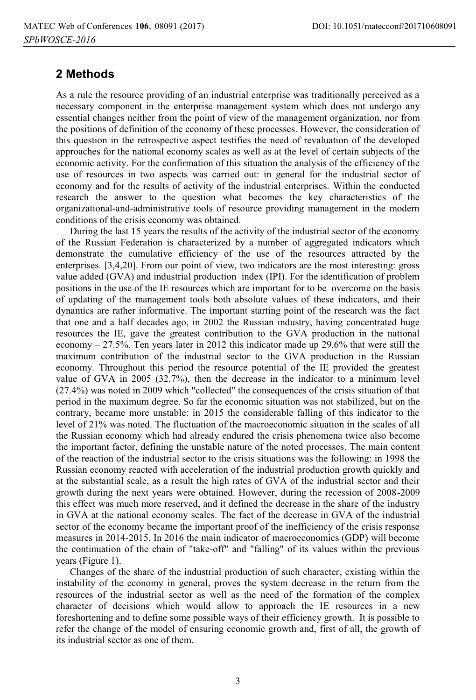### **2 Methods**

As a rule the resource providing of an industrial enterprise was traditionally perceived as a necessary component in the enterprise management system which does not undergo any essential changes neither from the point of view of the management organization, nor from the positions of definition of the economy of these processes. However, the consideration of this question in the retrospective aspect testifies the need of revaluation of the developed approaches for the national economy scales as well as at the level of certain subjects of the economic activity. For the confirmation of this situation the analysis of the efficiency of the use of resources in two aspects was carried out: in general for the industrial sector of economy and for the results of activity of the industrial enterprises. Within the conducted research the answer to the question what becomes the key characteristics of the organizational-and-administrative tools of resource providing management in the modern conditions of the crisis economy was obtained.

During the last 15 years the results of the activity of the industrial sector of the economy of the Russian Federation is characterized by a number of aggregated indicators which demonstrate the cumulative efficiency of the use of the resources attracted by the enterprises. [3,4,20]. From our point of view, two indicators are the most interesting: gross value added (GVA) and industrial production index (IPI). For the identification of problem positions in the use of the IE resources which are important for to be overcome on the basis of updating of the management tools both absolute values of these indicators, and their dynamics are rather informative. The important starting point of the research was the fact that one and a half decades ago, in 2002 the Russian industry, having concentrated huge resources the IE, gave the greatest contribution to the GVA production in the national economy  $-27.5\%$ . Ten years later in 2012 this indicator made up 29.6% that were still the maximum contribution of the industrial sector to the GVA production in the Russian economy. Throughout this period the resource potential of the IE provided the greatest value of GVA in 2005 (32.7%), then the decrease in the indicator to a minimum level (27.4%) was noted in 2009 which "collected" the consequences of the crisis situation of that period in the maximum degree. So far the economic situation was not stabilized, but on the contrary, became more unstable: in 2015 the considerable falling of this indicator to the level of 21% was noted. The fluctuation of the macroeconomic situation in the scales of all the Russian economy which had already endured the crisis phenomena twice also become the important factor, defining the unstable nature of the noted processes. The main content of the reaction of the industrial sector to the crisis situations was the following: in 1998 the Russian economy reacted with acceleration of the industrial production growth quickly and at the substantial scale, as a result the high rates of GVA of the industrial sector and their growth during the next years were obtained. However, during the recession of 2008-2009 this effect was much more reserved, and it defined the decrease in the share of the industry in GVA at the national economy scales. The fact of the decrease in GVA of the industrial sector of the economy became the important proof of the inefficiency of the crisis response measures in 2014-2015. In 2016 the main indicator of macroeconomics (GDP) will become the continuation of the chain of "take-off" and "falling" of its values within the previous years (Figure 1).

Changes of the share of the industrial production of such character, existing within the instability of the economy in general, proves the system decrease in the return from the resources of the industrial sector as well as the need of the formation of the complex character of decisions which would allow to approach the IE resources in a new foreshortening and to define some possible ways of their efficiency growth. It is possible to refer the change of the model of ensuring economic growth and, first of all, the growth of its industrial sector as one of them.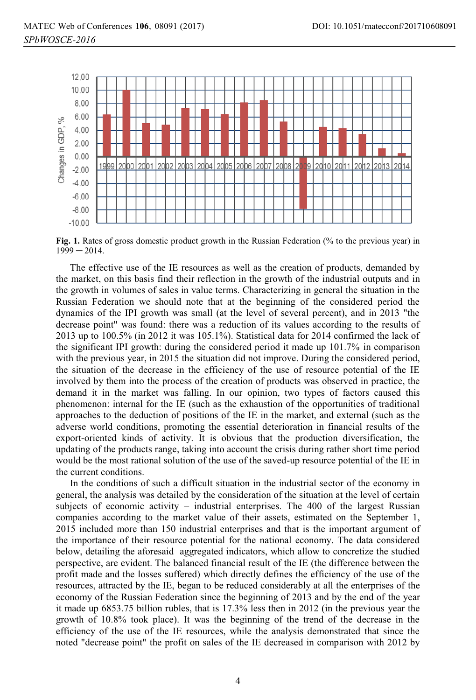

**Fig. 1.** Rates of gross domestic product growth in the Russian Federation (% to the previous year) in  $1999 - 2014.$ 

The effective use of the IE resources as well as the creation of products, demanded by the market, on this basis find their reflection in the growth of the industrial outputs and in the growth in volumes of sales in value terms. Characterizing in general the situation in the Russian Federation we should note that at the beginning of the considered period the dynamics of the IPI growth was small (at the level of several percent), and in 2013 "the decrease point" was found: there was a reduction of its values according to the results of 2013 up to 100.5% (in 2012 it was 105.1%). Statistical data for 2014 confirmed the lack of the significant IPI growth: during the considered period it made up 101.7% in comparison with the previous year, in 2015 the situation did not improve. During the considered period, the situation of the decrease in the efficiency of the use of resource potential of the IE involved by them into the process of the creation of products was observed in practice, the demand it in the market was falling. In our opinion, two types of factors caused this phenomenon: internal for the IE (such as the exhaustion of the opportunities of traditional approaches to the deduction of positions of the IE in the market, and external (such as the adverse world conditions, promoting the essential deterioration in financial results of the export-oriented kinds of activity. It is obvious that the production diversification, the updating of the products range, taking into account the crisis during rather short time period would be the most rational solution of the use of the saved-up resource potential of the IE in the current conditions.

In the conditions of such a difficult situation in the industrial sector of the economy in general, the analysis was detailed by the consideration of the situation at the level of certain subjects of economic activity – industrial enterprises. The  $400$  of the largest Russian companies according to the market value of their assets, estimated on the September 1, 2015 included more than 150 industrial enterprises and that is the important argument of the importance of their resource potential for the national economy. The data considered below, detailing the aforesaid aggregated indicators, which allow to concretize the studied perspective, are evident. The balanced financial result of the IE (the difference between the profit made and the losses suffered) which directly defines the efficiency of the use of the resources, attracted by the IE, began to be reduced considerably at all the enterprises of the economy of the Russian Federation since the beginning of 2013 and by the end of the year it made up 6853.75 billion rubles, that is 17.3% less then in 2012 (in the previous year the growth of 10.8% took place). It was the beginning of the trend of the decrease in the efficiency of the use of the IE resources, while the analysis demonstrated that since the noted "decrease point" the profit on sales of the IE decreased in comparison with 2012 by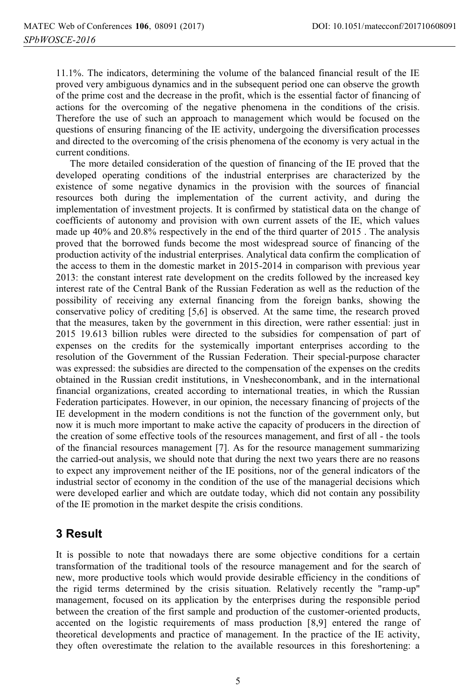11.1%. The indicators, determining the volume of the balanced financial result of the IE proved very ambiguous dynamics and in the subsequent period one can observe the growth of the prime cost and the decrease in the profit, which is the essential factor of financing of actions for the overcoming of the negative phenomena in the conditions of the crisis. Therefore the use of such an approach to management which would be focused on the questions of ensuring financing of the IE activity, undergoing the diversification processes and directed to the overcoming of the crisis phenomena of the economy is very actual in the current conditions.

The more detailed consideration of the question of financing of the IE proved that the developed operating conditions of the industrial enterprises are characterized by the existence of some negative dynamics in the provision with the sources of financial resources both during the implementation of the current activity, and during the implementation of investment projects. It is confirmed by statistical data on the change of coefficients of autonomy and provision with own current assets of the IE, which values made up 40% and 20.8% respectively in the end of the third quarter of 2015 . The analysis proved that the borrowed funds become the most widespread source of financing of the production activity of the industrial enterprises. Analytical data confirm the complication of the access to them in the domestic market in 2015-2014 in comparison with previous year 2013: the constant interest rate development on the credits followed by the increased key interest rate of the Central Bank of the Russian Federation as well as the reduction of the possibility of receiving any external financing from the foreign banks, showing the conservative policy of crediting [5,6] is observed. At the same time, the research proved that the measures, taken by the government in this direction, were rather essential: just in 2015 19.613 billion rubles were directed to the subsidies for compensation of part of expenses on the credits for the systemically important enterprises according to the resolution of the Government of the Russian Federation. Their special-purpose character was expressed: the subsidies are directed to the compensation of the expenses on the credits obtained in the Russian credit institutions, in Vnesheconombank, and in the international financial organizations, created according to international treaties, in which the Russian Federation participates. However, in our opinion, the necessary financing of projects of the IE development in the modern conditions is not the function of the government only, but now it is much more important to make active the capacity of producers in the direction of the creation of some effective tools of the resources management, and first of all - the tools of the financial resources management [7]. As for the resource management summarizing the carried-out analysis, we should note that during the next two years there are no reasons to expect any improvement neither of the IE positions, nor of the general indicators of the industrial sector of economy in the condition of the use of the managerial decisions which were developed earlier and which are outdate today, which did not contain any possibility of the IE promotion in the market despite the crisis conditions.

#### **3 Result**

It is possible to note that nowadays there are some objective conditions for a certain transformation of the traditional tools of the resource management and for the search of new, more productive tools which would provide desirable efficiency in the conditions of the rigid terms determined by the crisis situation. Relatively recently the "ramp-up" management, focused on its application by the enterprises during the responsible period between the creation of the first sample and production of the customer-oriented products, accented on the logistic requirements of mass production [8,9] entered the range of theoretical developments and practice of management. In the practice of the IE activity, they often overestimate the relation to the available resources in this foreshortening: a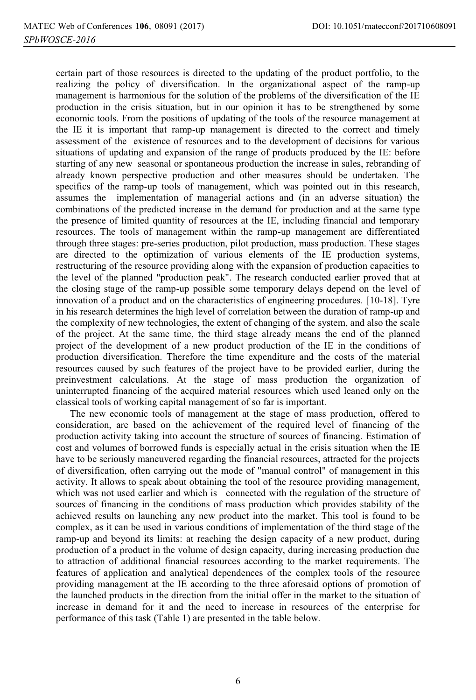certain part of those resources is directed to the updating of the product portfolio, to the realizing the policy of diversification. In the organizational aspect of the ramp-up management is harmonious for the solution of the problems of the diversification of the IE production in the crisis situation, but in our opinion it has to be strengthened by some economic tools. From the positions of updating of the tools of the resource management at the IE it is important that ramp-up management is directed to the correct and timely assessment of the existence of resources and to the development of decisions for various situations of updating and expansion of the range of products produced by the IE: before starting of any new seasonal or spontaneous production the increase in sales, rebranding of already known perspective production and other measures should be undertaken. The specifics of the ramp-up tools of management, which was pointed out in this research, assumes the implementation of managerial actions and (in an adverse situation) the combinations of the predicted increase in the demand for production and at the same type the presence of limited quantity of resources at the IE, including financial and temporary resources. The tools of management within the ramp-up management are differentiated through three stages: pre-series production, pilot production, mass production. These stages are directed to the optimization of various elements of the IE production systems, restructuring of the resource providing along with the expansion of production capacities to the level of the planned "production peak". The research conducted earlier proved that at the closing stage of the ramp-up possible some temporary delays depend on the level of innovation of a product and on the characteristics of engineering procedures. [10-18]. Tyre in his research determines the high level of correlation between the duration of ramp-up and the complexity of new technologies, the extent of changing of the system, and also the scale of the project. At the same time, the third stage already means the end of the planned project of the development of a new product production of the IE in the conditions of production diversification. Therefore the time expenditure and the costs of the material resources caused by such features of the project have to be provided earlier, during the preinvestment calculations. At the stage of mass production the organization of uninterrupted financing of the acquired material resources which used leaned only on the classical tools of working capital management of so far is important.

The new economic tools of management at the stage of mass production, offered to consideration, are based on the achievement of the required level of financing of the production activity taking into account the structure of sources of financing. Estimation of cost and volumes of borrowed funds is especially actual in the crisis situation when the IE have to be seriously maneuvered regarding the financial resources, attracted for the projects of diversification, often carrying out the mode of "manual control" of management in this activity. It allows to speak about obtaining the tool of the resource providing management, which was not used earlier and which is connected with the regulation of the structure of sources of financing in the conditions of mass production which provides stability of the achieved results on launching any new product into the market. This tool is found to be complex, as it can be used in various conditions of implementation of the third stage of the ramp-up and beyond its limits: at reaching the design capacity of a new product, during production of a product in the volume of design capacity, during increasing production due to attraction of additional financial resources according to the market requirements. The features of application and analytical dependences of the complex tools of the resource providing management at the IE according to the three aforesaid options of promotion of the launched products in the direction from the initial offer in the market to the situation of increase in demand for it and the need to increase in resources of the enterprise for performance of this task (Table 1) are presented in the table below.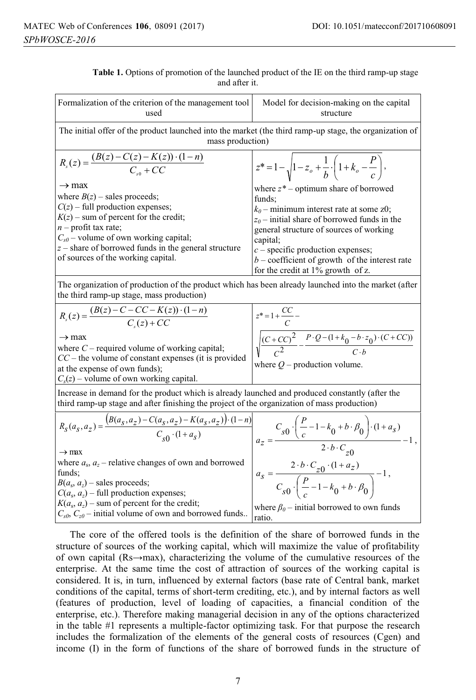| Formalization of the criterion of the management tool<br>used                                                                                                                                                                                                                                                                                                                                                                                 | Model for decision-making on the capital<br>structure                                                                                                                                                                                                                                                                                                                                                                             |
|-----------------------------------------------------------------------------------------------------------------------------------------------------------------------------------------------------------------------------------------------------------------------------------------------------------------------------------------------------------------------------------------------------------------------------------------------|-----------------------------------------------------------------------------------------------------------------------------------------------------------------------------------------------------------------------------------------------------------------------------------------------------------------------------------------------------------------------------------------------------------------------------------|
| The initial offer of the product launched into the market (the third ramp-up stage, the organization of<br>mass production)                                                                                                                                                                                                                                                                                                                   |                                                                                                                                                                                                                                                                                                                                                                                                                                   |
| $R_s(z) = \frac{(B(z) - C(z) - K(z)) \cdot (1 - n)}{C_s + CC}$<br>$\rightarrow$ max<br>where $B(z)$ – sales proceeds;<br>$C(z)$ – full production expenses;<br>$K(z)$ – sum of percent for the credit;<br>$n$ – profit tax rate;<br>$C_{s0}$ – volume of own working capital;<br>$z$ – share of borrowed funds in the general structure<br>of sources of the working capital.                                                                 | $z^* = 1 - \sqrt{1 - z_o + \frac{1}{b} \cdot \left(1 + k_o - \frac{P}{c}\right)}$ ,<br>where $z^*$ – optimum share of borrowed<br>funds;<br>$k_0$ – minimum interest rate at some z0;<br>$z_0$ – initial share of borrowed funds in the<br>general structure of sources of working<br>capital;<br>$c$ – specific production expenses;<br>$b$ – coefficient of growth of the interest rate<br>for the credit at $1\%$ growth of z. |
| The organization of production of the product which has been already launched into the market (after<br>the third ramp-up stage, mass production)                                                                                                                                                                                                                                                                                             |                                                                                                                                                                                                                                                                                                                                                                                                                                   |
| $R_s(z) = \frac{(B(z) - C - CC - K(z)) \cdot (1 - n)}{C_s(z) + CC}$<br>$\rightarrow$ max<br>where $C$ – required volume of working capital;<br>$CC$ – the volume of constant expenses (it is provided<br>at the expense of own funds);<br>$C_s(z)$ – volume of own working capital.                                                                                                                                                           | $z^* = 1 + \frac{CC}{C} -$<br>$\sqrt{\frac{(C + CC)^2}{C^2} - \frac{P \cdot Q - (1 + k_0 - b \cdot z_0) \cdot (C + CC))}{C \cdot b}}$<br>where $Q$ – production volume.                                                                                                                                                                                                                                                           |
| Increase in demand for the product which is already launched and produced constantly (after the<br>third ramp-up stage and after finishing the project of the organization of mass production)                                                                                                                                                                                                                                                |                                                                                                                                                                                                                                                                                                                                                                                                                                   |
| $\overline{R_S(a_S,a_Z) = \frac{\left(B(a_S,a_Z) - C(a_S,a_Z) - K(a_S,a_Z)\right)\cdot (1-n)}{C_{s0}\cdot (1+a_S)}} \left.\rule{0mm}{3.5mm} \right  \left.\rule{0mm}{3.5mm} a_Z = \frac{C_{s0}\cdot \left(\frac{P}{c} - 1 - k_0 + b\cdot \beta_0\right)\cdot (1+a_S)}{2\cdot b\cdot C_{\tau_0}} - 1 \right ,$<br>$\rightarrow$ max<br>where $a_s$ , $a_z$ – relative changes of own and borrowed<br>funds;<br>$B(a_s, a_z)$ – sales proceeds; | $a_{s} = \frac{2 \cdot b \cdot C_{z0} \cdot (1 + a_{z})}{C_{s0} \cdot \left(\frac{P}{c} - 1 - k_{0} + b \cdot \beta_{0}\right)} - 1,$                                                                                                                                                                                                                                                                                             |
| $C(a_s, a_z)$ – full production expenses;<br>$K(a_s, a_z)$ – sum of percent for the credit;                                                                                                                                                                                                                                                                                                                                                   | where $\beta_0$ – initial borrowed to own funds                                                                                                                                                                                                                                                                                                                                                                                   |

**Table 1.** Options of promotion of the launched product of the IE on the third ramp-up stage and after it.

The core of the offered tools is the definition of the share of borrowed funds in the structure of sources of the working capital, which will maximize the value of profitability of own capital (Rs→max), characterizing the volume of the cumulative resources of the enterprise. At the same time the cost of attraction of sources of the working capital is considered. It is, in turn, influenced by external factors (base rate of Central bank, market conditions of the capital, terms of short-term crediting, etc.), and by internal factors as well (features of production, level of loading of capacities, a financial condition of the enterprise, etc.). Therefore making managerial decision in any of the options characterized in the table #1 represents a multiple-factor optimizing task. For that purpose the research includes the formalization of the elements of the general costs of resources (Cgen) and income (I) in the form of functions of the share of borrowed funds in the structure of

ratio.

 $C_{s0}$ ,  $C_{z0}$  – initial volume of own and borrowed funds...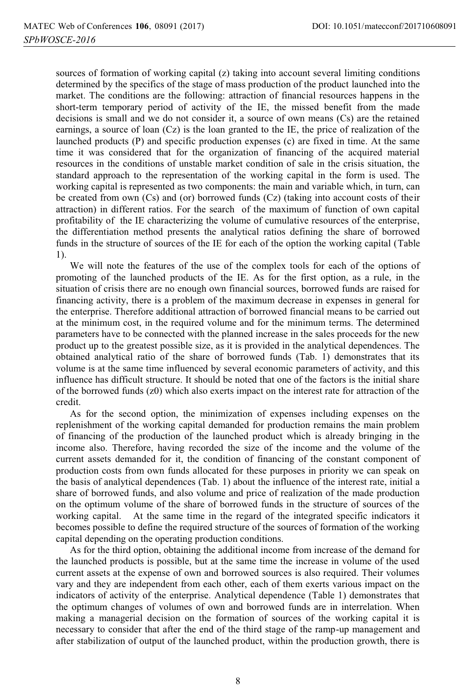sources of formation of working capital (z) taking into account several limiting conditions determined by the specifics of the stage of mass production of the product launched into the market. The conditions are the following: attraction of financial resources happens in the short-term temporary period of activity of the IE, the missed benefit from the made decisions is small and we do not consider it, a source of own means (Cs) are the retained earnings, a source of loan (Cz) is the loan granted to the IE, the price of realization of the launched products (P) and specific production expenses (c) are fixed in time. At the same time it was considered that for the organization of financing of the acquired material resources in the conditions of unstable market condition of sale in the crisis situation, the standard approach to the representation of the working capital in the form is used. The working capital is represented as two components: the main and variable which, in turn, can be created from own (Cs) and (or) borrowed funds (Cz) (taking into account costs of their attraction) in different ratios. For the search of the maximum of function of own capital profitability of the IE characterizing the volume of cumulative resources of the enterprise, the differentiation method presents the analytical ratios defining the share of borrowed funds in the structure of sources of the IE for each of the option the working capital (Table 1).

We will note the features of the use of the complex tools for each of the options of promoting of the launched products of the IE. As for the first option, as a rule, in the situation of crisis there are no enough own financial sources, borrowed funds are raised for financing activity, there is a problem of the maximum decrease in expenses in general for the enterprise. Therefore additional attraction of borrowed financial means to be carried out at the minimum cost, in the required volume and for the minimum terms. The determined parameters have to be connected with the planned increase in the sales proceeds for the new product up to the greatest possible size, as it is provided in the analytical dependences. The obtained analytical ratio of the share of borrowed funds (Tab. 1) demonstrates that its volume is at the same time influenced by several economic parameters of activity, and this influence has difficult structure. It should be noted that one of the factors is the initial share of the borrowed funds (z0) which also exerts impact on the interest rate for attraction of the credit.

As for the second option, the minimization of expenses including expenses on the replenishment of the working capital demanded for production remains the main problem of financing of the production of the launched product which is already bringing in the income also. Therefore, having recorded the size of the income and the volume of the current assets demanded for it, the condition of financing of the constant component of production costs from own funds allocated for these purposes in priority we can speak on the basis of analytical dependences (Tab. 1) about the influence of the interest rate, initial a share of borrowed funds, and also volume and price of realization of the made production on the optimum volume of the share of borrowed funds in the structure of sources of the working capital. At the same time in the regard of the integrated specific indicators it becomes possible to define the required structure of the sources of formation of the working capital depending on the operating production conditions.

As for the third option, obtaining the additional income from increase of the demand for the launched products is possible, but at the same time the increase in volume of the used current assets at the expense of own and borrowed sources is also required. Their volumes vary and they are independent from each other, each of them exerts various impact on the indicators of activity of the enterprise. Analytical dependence (Table 1) demonstrates that the optimum changes of volumes of own and borrowed funds are in interrelation. When making a managerial decision on the formation of sources of the working capital it is necessary to consider that after the end of the third stage of the ramp-up management and after stabilization of output of the launched product, within the production growth, there is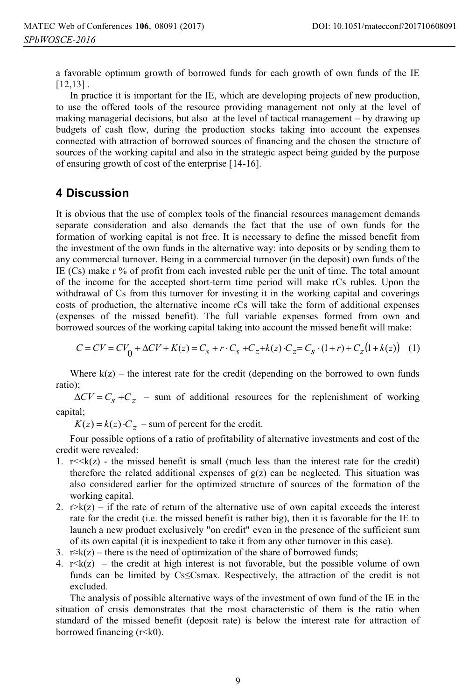a favorable optimum growth of borrowed funds for each growth of own funds of the IE  $[12,13]$ .

In practice it is important for the IE, which are developing projects of new production, to use the offered tools of the resource providing management not only at the level of making managerial decisions, but also at the level of tactical management – by drawing up budgets of cash flow, during the production stocks taking into account the expenses connected with attraction of borrowed sources of financing and the chosen the structure of sources of the working capital and also in the strategic aspect being guided by the purpose of ensuring growth of cost of the enterprise [14-16].

#### **4 Discussion**

It is obvious that the use of complex tools of the financial resources management demands separate consideration and also demands the fact that the use of own funds for the formation of working capital is not free. It is necessary to define the missed benefit from the investment of the own funds in the alternative way: into deposits or by sending them to any commercial turnover. Being in a commercial turnover (in the deposit) own funds of the IE  $(Cs)$  make r % of profit from each invested ruble per the unit of time. The total amount of the income for the accepted short-term time period will make rCs rubles. Upon the withdrawal of Cs from this turnover for investing it in the working capital and coverings costs of production, the alternative income rCs will take the form of additional expenses (expenses of the missed benefit). The full variable expenses formed from own and borrowed sources of the working capital taking into account the missed benefit will make:

$$
C = CV = CV_0 + \Delta CV + K(z) = C_s + r \cdot C_s + C_z + k(z) \cdot C_z = C_s \cdot (1 + r) + C_z (1 + k(z)) \tag{1}
$$

Where  $k(z)$  – the interest rate for the credit (depending on the borrowed to own funds ratio);

 $\Delta CV = C_s + C_z$  – sum of additional resources for the replenishment of working capital;

 $K(z) = k(z) \cdot C_z$  – sum of percent for the credit.

Four possible options of a ratio of profitability of alternative investments and cost of the credit were revealed:

- 1.  $r \ll k(z)$  the missed benefit is small (much less than the interest rate for the credit) therefore the related additional expenses of  $g(z)$  can be neglected. This situation was also considered earlier for the optimized structure of sources of the formation of the working capital.
- 2.  $r > k(z)$  if the rate of return of the alternative use of own capital exceeds the interest rate for the credit (i.e. the missed benefit is rather big), then it is favorable for the IE to launch a new product exclusively "on credit" even in the presence of the sufficient sum of its own capital (it is inexpedient to take it from any other turnover in this case).
- 3.  $r \approx k(z)$  there is the need of optimization of the share of borrowed funds;
- 4.  $r\leq k(z)$  the credit at high interest is not favorable, but the possible volume of own funds can be limited by Cs≤Csmax. Respectively, the attraction of the credit is not excluded.

The analysis of possible alternative ways of the investment of own fund of the IE in the situation of crisis demonstrates that the most characteristic of them is the ratio when standard of the missed benefit (deposit rate) is below the interest rate for attraction of borrowed financing  $(r< k0)$ .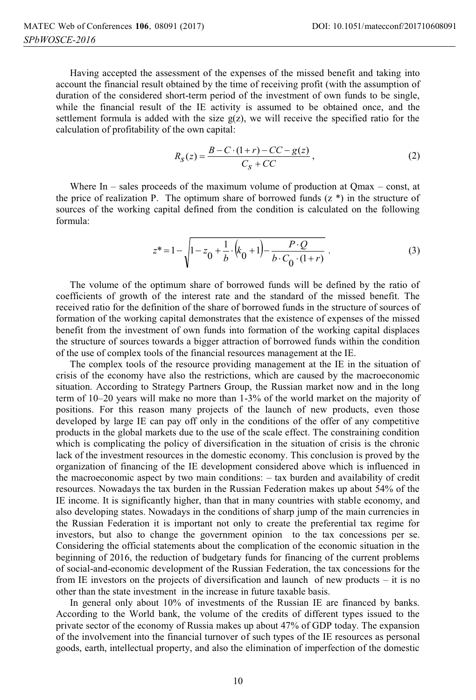Having accepted the assessment of the expenses of the missed benefit and taking into account the financial result obtained by the time of receiving profit (with the assumption of duration of the considered short-term period of the investment of own funds to be single, while the financial result of the IE activity is assumed to be obtained once, and the settlement formula is added with the size  $g(z)$ , we will receive the specified ratio for the calculation of profitability of the own capital:

$$
R_S(z) = \frac{B - C \cdot (1 + r) - CC - g(z)}{C_S + CC},
$$
\n(2)

Where In – sales proceeds of the maximum volume of production at  $Q$ max – const, at the price of realization P. The optimum share of borrowed funds  $(z^*)$  in the structure of sources of the working capital defined from the condition is calculated on the following formula:

$$
z^* = 1 - \sqrt{1 - z_0 + \frac{1}{b} \cdot (k_0 + 1) - \frac{P \cdot Q}{b \cdot C_0 \cdot (1 + r)}}.
$$
 (3)

The volume of the optimum share of borrowed funds will be defined by the ratio of coefficients of growth of the interest rate and the standard of the missed benefit. The received ratio for the definition of the share of borrowed funds in the structure of sources of formation of the working capital demonstrates that the existence of expenses of the missed benefit from the investment of own funds into formation of the working capital displaces the structure of sources towards a bigger attraction of borrowed funds within the condition of the use of complex tools of the financial resources management at the IE.

The complex tools of the resource providing management at the IE in the situation of crisis of the economy have also the restrictions, which are caused by the macroeconomic situation. According to Strategy Partners Group, the Russian market now and in the long term of 10–20 years will make no more than 1-3% of the world market on the majority of positions. For this reason many projects of the launch of new products, even those developed by large IE can pay off only in the conditions of the offer of any competitive products in the global markets due to the use of the scale effect. The constraining condition which is complicating the policy of diversification in the situation of crisis is the chronic lack of the investment resources in the domestic economy. This conclusion is proved by the organization of financing of the IE development considered above which is influenced in the macroeconomic aspect by two main conditions: – tax burden and availability of credit resources. Nowadays the tax burden in the Russian Federation makes up about 54% of the IE income. It is significantly higher, than that in many countries with stable economy, and also developing states. Nowadays in the conditions of sharp jump of the main currencies in the Russian Federation it is important not only to create the preferential tax regime for investors, but also to change the government opinion to the tax concessions per se. Considering the official statements about the complication of the economic situation in the beginning of 2016, the reduction of budgetary funds for financing of the current problems of social-and-economic development of the Russian Federation, the tax concessions for the from IE investors on the projects of diversification and launch of new products – it is no other than the state investment in the increase in future taxable basis.

In general only about 10% of investments of the Russian IE are financed by banks. According to the World bank, the volume of the credits of different types issued to the private sector of the economy of Russia makes up about 47% of GDP today. The expansion of the involvement into the financial turnover of such types of the IE resources as personal goods, earth, intellectual property, and also the elimination of imperfection of the domestic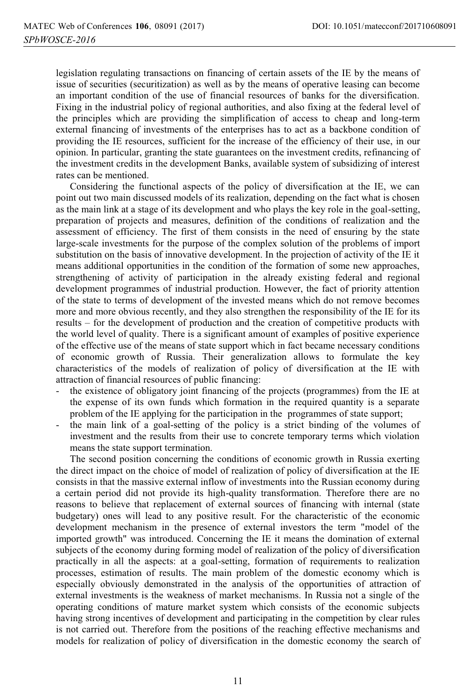legislation regulating transactions on financing of certain assets of the IE by the means of issue of securities (securitization) as well as by the means of operative leasing can become an important condition of the use of financial resources of banks for the diversification. Fixing in the industrial policy of regional authorities, and also fixing at the federal level of the principles which are providing the simplification of access to cheap and long-term external financing of investments of the enterprises has to act as a backbone condition of providing the IE resources, sufficient for the increase of the efficiency of their use, in our opinion. In particular, granting the state guarantees on the investment credits, refinancing of the investment credits in the development Banks, available system of subsidizing of interest rates can be mentioned.

Considering the functional aspects of the policy of diversification at the IE, we can point out two main discussed models of its realization, depending on the fact what is chosen as the main link at a stage of its development and who plays the key role in the goal-setting, preparation of projects and measures, definition of the conditions of realization and the assessment of efficiency. The first of them consists in the need of ensuring by the state large-scale investments for the purpose of the complex solution of the problems of import substitution on the basis of innovative development. In the projection of activity of the IE it means additional opportunities in the condition of the formation of some new approaches, strengthening of activity of participation in the already existing federal and regional development programmes of industrial production. However, the fact of priority attention of the state to terms of development of the invested means which do not remove becomes more and more obvious recently, and they also strengthen the responsibility of the IE for its results – for the development of production and the creation of competitive products with the world level of quality. There is a significant amount of examples of positive experience of the effective use of the means of state support which in fact became necessary conditions of economic growth of Russia. Their generalization allows to formulate the key characteristics of the models of realization of policy of diversification at the IE with attraction of financial resources of public financing:

- the existence of obligatory joint financing of the projects (programmes) from the IE at the expense of its own funds which formation in the required quantity is a separate problem of the IE applying for the participation in the programmes of state support;
- the main link of a goal-setting of the policy is a strict binding of the volumes of investment and the results from their use to concrete temporary terms which violation means the state support termination.

The second position concerning the conditions of economic growth in Russia exerting the direct impact on the choice of model of realization of policy of diversification at the IE consists in that the massive external inflow of investments into the Russian economy during a certain period did not provide its high-quality transformation. Therefore there are no reasons to believe that replacement of external sources of financing with internal (state budgetary) ones will lead to any positive result. For the characteristic of the economic development mechanism in the presence of external investors the term "model of the imported growth" was introduced. Concerning the IE it means the domination of external subjects of the economy during forming model of realization of the policy of diversification practically in all the aspects: at a goal-setting, formation of requirements to realization processes, estimation of results. The main problem of the domestic economy which is especially obviously demonstrated in the analysis of the opportunities of attraction of external investments is the weakness of market mechanisms. In Russia not a single of the operating conditions of mature market system which consists of the economic subjects having strong incentives of development and participating in the competition by clear rules is not carried out. Therefore from the positions of the reaching effective mechanisms and models for realization of policy of diversification in the domestic economy the search of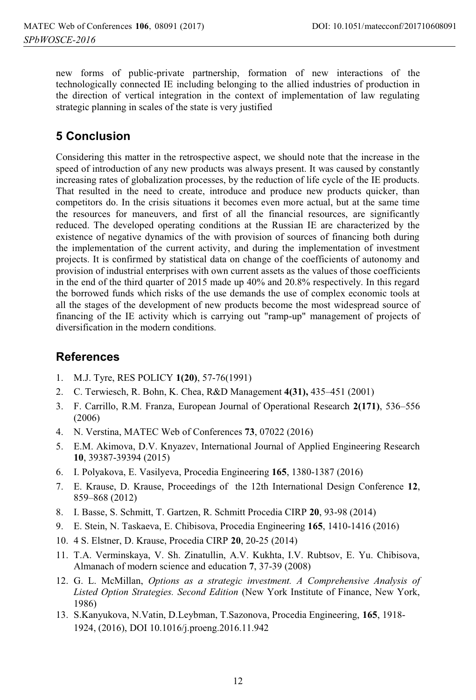new forms of public-private partnership, formation of new interactions of the technologically connected IE including belonging to the allied industries of production in the direction of vertical integration in the context of implementation of law regulating strategic planning in scales of the state is very justified

## **5 Conclusion**

Considering this matter in the retrospective aspect, we should note that the increase in the speed of introduction of any new products was always present. It was caused by constantly increasing rates of globalization processes, by the reduction of life cycle of the IE products. That resulted in the need to create, introduce and produce new products quicker, than competitors do. In the crisis situations it becomes even more actual, but at the same time the resources for maneuvers, and first of all the financial resources, are significantly reduced. The developed operating conditions at the Russian IE are characterized by the existence of negative dynamics of the with provision of sources of financing both during the implementation of the current activity, and during the implementation of investment projects. It is confirmed by statistical data on change of the coefficients of autonomy and provision of industrial enterprises with own current assets as the values of those coefficients in the end of the third quarter of 2015 made up 40% and 20.8% respectively. In this regard the borrowed funds which risks of the use demands the use of complex economic tools at all the stages of the development of new products become the most widespread source of financing of the IE activity which is carrying out "ramp-up" management of projects of diversification in the modern conditions.

#### **References**

- 1. M.J. Tyre, RES POLICY **1(20)**, 57-76(1991)
- 2. C. Terwiesch, R. Bohn, K. Chea, R&D Management **4(31),** <sup>435</sup>–451 (2001)
- 3. F. Carrillo, R.M. Franza, European Journal of Operational Research **2(171)**, 536–<sup>556</sup> (2006)
- 4. N. Verstina, MATEC Web of Conferences **73**, 07022 (2016)
- 5. E.M. Akimova, D.V. Knyazev, International Journal of Applied Engineering Research **10**, 39387-39394 (2015)
- 6. I. Polyakova, E. Vasilyeva, Procedia Engineering **165**, 1380-1387 (2016)
- 7. E. Krause, D. Krause, Proceedings of the 12th International Design Conference **12**, 859–868 (2012)
- 8. I. Basse, S. Schmitt, T. Gartzen, R. Schmitt Procedia CIRP **20**, 93-98 (2014)
- 9. E. Stein, N. Taskaeva, E. Chibisova, Procedia Engineering **165**, 1410-1416 (2016)
- 10. 4 S. Elstner, D. Krause, Procedia CIRP **20**, 20-25 (2014)
- 11. T.A. Verminskaya, V. Sh. Zinatullin, A.V. Kukhta, I.V. Rubtsov, E. Yu. Chibisova, Almanach of modern science and education **7**, 37-39 (2008)
- 12. G. L. McMillan, *Оptions as a strategic investment. A Comprehensive Analysis of Listed Option Strategies. Second Edition* (New York Institute of Finance, New York, 1986)
- 13. S.Kanyukova, N.Vatin, D.Leybman, T.Sazonova, Procedia Engineering, **165**, 1918- 1924, (2016), DOI 10.1016/j.proeng.2016.11.942